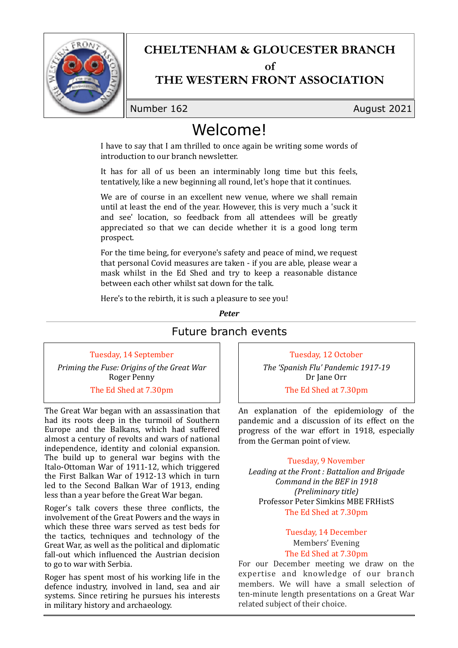

## **CHELTENHAM & GLOUCESTER BRANCH**

 $\alpha$ **f** 

## **THE WESTERN FRONT ASSOCIATION**

Number 162 **August 2021** 

# Welcome!

I have to say that I am thrilled to once again be writing some words of introduction to our branch newsletter.

It has for all of us been an interminably long time but this feels, tentatively, like a new beginning all round, let's hope that it continues.

We are of course in an excellent new venue, where we shall remain until at least the end of the year. However, this is very much a 'suck it and see' location, so feedback from all attendees will be greatly appreciated so that we can decide whether it is a good long term prospect. 

For the time being, for everyone's safety and peace of mind, we request that personal Covid measures are taken - if you are able, please wear a mask whilst in the Ed Shed and try to keep a reasonable distance between each other whilst sat down for the talk.

Here's to the rebirth, it is such a pleasure to see you!

*Peter*

### Future branch events

Tuesday, 14 September *Priming the Fuse: Origins of the Great War* Roger Penny

The Ed Shed at 7.30pm

The Great War began with an assassination that had its roots deep in the turmoil of Southern Europe and the Balkans, which had suffered almost a century of revolts and wars of national independence, identity and colonial expansion. The build up to general war begins with the Italo-Ottoman War of 1911-12, which triggered the First Balkan War of 1912-13 which in turn led to the Second Balkan War of 1913, ending less than a year before the Great War began.

Roger's talk covers these three conflicts, the involvement of the Great Powers and the ways in which these three wars served as test beds for the tactics, techniques and technology of the Great War, as well as the political and diplomatic fall-out which influenced the Austrian decision to go to war with Serbia.

Roger has spent most of his working life in the defence industry, involved in land, sea and air systems. Since retiring he pursues his interests in military history and archaeology.

Tuesday, 12 October The 'Spanish Flu' Pandemic 1917-19 Dr Iane Orr

The Ed Shed at 7.30pm

An explanation of the epidemiology of the pandemic and a discussion of its effect on the progress of the war effort in 1918, especially from the German point of view.

#### Tuesday, 9 November

Leading at the Front : Battalion and Brigade *Command in the BEF in 1918 (Preliminary title)* Professor Peter Simkins MBE FRHistS The Ed Shed at 7.30pm

## Tuesday, 14 December Members' Evening

#### The Ed Shed at 7.30pm

For our December meeting we draw on the expertise and knowledge of our branch members. We will have a small selection of ten-minute length presentations on a Great War related subject of their choice.